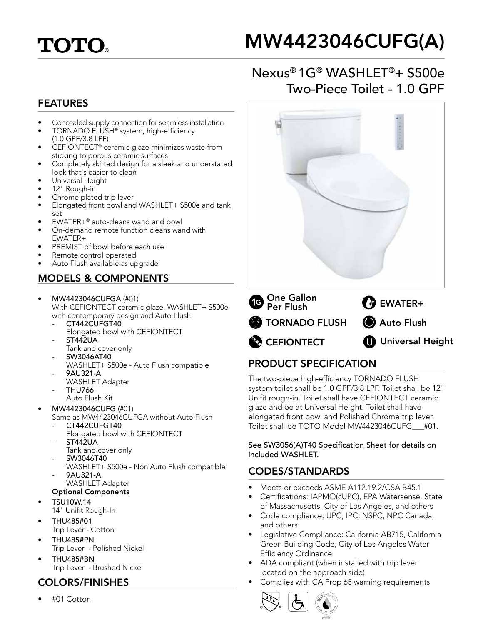

# MW4423046CUFG(A)

# Nexus® 1G® WASHLET®+ S500e Two-Piece Toilet - 1.0 GPF

#### FEATURES

- Concealed supply connection for seamless installation
- TORNADO FLUSH<sup>®</sup> system, high-efficiency (1.0 GPF/3.8 LPF)
- CEFIONTECT<sup>®</sup> ceramic glaze minimizes waste from sticking to porous ceramic surfaces
- Completely skirted design for a sleek and understated look that's easier to clean
- Universal Height
- 12" Rough-in
- Chrome plated trip lever
- Elongated front bowl and WASHLET+ S500e and tank set
- EWATER+® auto-cleans wand and bowl
- On-demand remote function cleans wand with EWATER+
- PREMIST of bowl before each use
- Remote control operated
- Auto Flush available as upgrade

## MODELS & COMPONENTS

- MW4423046CUFGA (#01) With CEFIONTECT ceramic glaze, WASHLET+ S500e with contemporary design and Auto Flush
	- CT442CUFGT40 Elongated bowl with CEFIONTECT
	- ST442UA
	- Tank and cover only
	- SW3046AT40
	- WASHLET+ S500e Auto Flush compatible - 9AU321-A
	- WASHLET Adapter - THU766
		- Auto Flush Kit
- MW4423046CUFG (#01)
	- Same as MW4423046CUFGA without Auto Flush CT442CUFGT40
		- Elongated bowl with CEFIONTECT - ST442UA
	- Tank and cover only
	- SW3046T40
		- WASHLET+ S500e Non Auto Flush compatible - 9AU321-A WASHLET Adapter
	- Optional Components
- TSU10W.14 14" Unifit Rough-In
- THU485#01
- Trip Lever Cotton
- THU485#PN Trip Lever - Polished Nickel
- THU485#BN Trip Lever - Brushed Nickel

## COLORS/FINISHES

• #01 Cotton



## PRODUCT SPECIFICATION

The two-piece high-efficiency TORNADO FLUSH system toilet shall be 1.0 GPF/3.8 LPF. Toilet shall be 12" Unifit rough-in. Toilet shall have CEFIONTECT ceramic glaze and be at Universal Height. Toilet shall have elongated front bowl and Polished Chrome trip lever. Toilet shall be TOTO Model MW4423046CUFG\_\_\_#01.

See SW3056(A)T40 Specification Sheet for details on included WASHLET.

#### CODES/STANDARDS

- Meets or exceeds ASME A112.19.2/CSA B45.1
- Certifications: IAPMO(cUPC), EPA Watersense, State of Massachusetts, City of Los Angeles, and others
- Code compliance: UPC, IPC, NSPC, NPC Canada, and others
- Legislative Compliance: California AB715, California Green Building Code, City of Los Angeles Water Efficiency Ordinance
- ADA compliant (when installed with trip lever located on the approach side)
- Complies with CA Prop 65 warning requirements